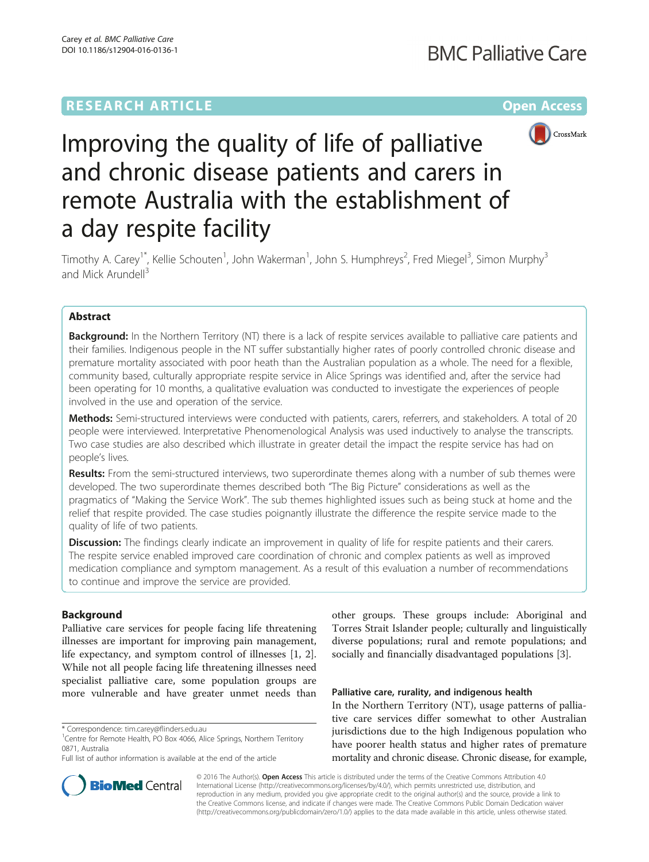## **RESEARCH ARTICLE Example 2014 12:30 The Community Community Community Community Community Community Community**



# Improving the quality of life of palliative and chronic disease patients and carers in remote Australia with the establishment of a day respite facility

Timothy A. Carey<sup>1\*</sup>, Kellie Schouten<sup>1</sup>, John Wakerman<sup>1</sup>, John S. Humphreys<sup>2</sup>, Fred Miegel<sup>3</sup>, Simon Murphy<sup>3</sup> and Mick Arundell<sup>3</sup>

## Abstract

**Background:** In the Northern Territory (NT) there is a lack of respite services available to palliative care patients and their families. Indigenous people in the NT suffer substantially higher rates of poorly controlled chronic disease and premature mortality associated with poor heath than the Australian population as a whole. The need for a flexible, community based, culturally appropriate respite service in Alice Springs was identified and, after the service had been operating for 10 months, a qualitative evaluation was conducted to investigate the experiences of people involved in the use and operation of the service.

Methods: Semi-structured interviews were conducted with patients, carers, referrers, and stakeholders. A total of 20 people were interviewed. Interpretative Phenomenological Analysis was used inductively to analyse the transcripts. Two case studies are also described which illustrate in greater detail the impact the respite service has had on people's lives.

Results: From the semi-structured interviews, two superordinate themes along with a number of sub themes were developed. The two superordinate themes described both "The Big Picture" considerations as well as the pragmatics of "Making the Service Work". The sub themes highlighted issues such as being stuck at home and the relief that respite provided. The case studies poignantly illustrate the difference the respite service made to the quality of life of two patients.

**Discussion:** The findings clearly indicate an improvement in quality of life for respite patients and their carers. The respite service enabled improved care coordination of chronic and complex patients as well as improved medication compliance and symptom management. As a result of this evaluation a number of recommendations to continue and improve the service are provided.

## **Background**

Palliative care services for people facing life threatening illnesses are important for improving pain management, life expectancy, and symptom control of illnesses [1, 2]. While not all people facing life threatening illnesses need specialist palliative care, some population groups are more vulnerable and have greater unmet needs than other groups. These groups include: Aboriginal and Torres Strait Islander people; culturally and linguistically diverse populations; rural and remote populations; and socially and financially disadvantaged populations [3].

#### Palliative care, rurality, and indigenous health

In the Northern Territory (NT), usage patterns of palliative care services differ somewhat to other Australian jurisdictions due to the high Indigenous population who have poorer health status and higher rates of premature mortality and chronic disease. Chronic disease, for example,



© 2016 The Author(s). Open Access This article is distributed under the terms of the Creative Commons Attribution 4.0 International License (http://creativecommons.org/licenses/by/4.0/), which permits unrestricted use, distribution, and reproduction in any medium, provided you give appropriate credit to the original author(s) and the source, provide a link to the Creative Commons license, and indicate if changes were made. The Creative Commons Public Domain Dedication waiver (http://creativecommons.org/publicdomain/zero/1.0/) applies to the data made available in this article, unless otherwise stated.

<sup>\*</sup> Correspondence: tim.carey@flinders.edu.au <sup>1</sup>

<sup>&</sup>lt;sup>1</sup> Centre for Remote Health, PO Box 4066, Alice Springs, Northern Territory 0871, Australia

Full list of author information is available at the end of the article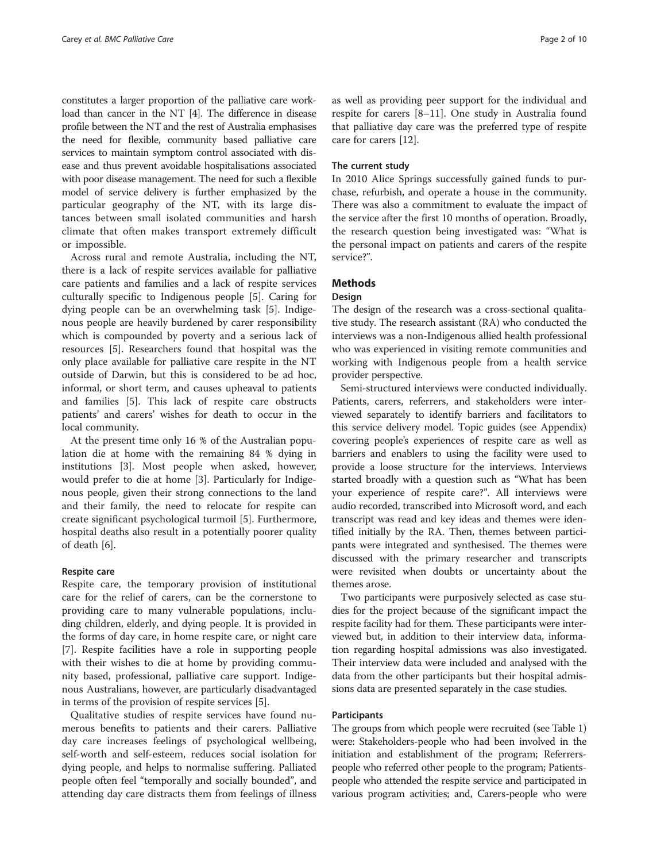constitutes a larger proportion of the palliative care workload than cancer in the NT [4]. The difference in disease profile between the NT and the rest of Australia emphasises the need for flexible, community based palliative care services to maintain symptom control associated with disease and thus prevent avoidable hospitalisations associated with poor disease management. The need for such a flexible model of service delivery is further emphasized by the particular geography of the NT, with its large distances between small isolated communities and harsh climate that often makes transport extremely difficult or impossible.

Across rural and remote Australia, including the NT, there is a lack of respite services available for palliative care patients and families and a lack of respite services culturally specific to Indigenous people [5]. Caring for dying people can be an overwhelming task [5]. Indigenous people are heavily burdened by carer responsibility which is compounded by poverty and a serious lack of resources [5]. Researchers found that hospital was the only place available for palliative care respite in the NT outside of Darwin, but this is considered to be ad hoc, informal, or short term, and causes upheaval to patients and families [5]. This lack of respite care obstructs patients' and carers' wishes for death to occur in the local community.

At the present time only 16 % of the Australian population die at home with the remaining 84 % dying in institutions [3]. Most people when asked, however, would prefer to die at home [3]. Particularly for Indigenous people, given their strong connections to the land and their family, the need to relocate for respite can create significant psychological turmoil [5]. Furthermore, hospital deaths also result in a potentially poorer quality of death [6].

#### Respite care

Respite care, the temporary provision of institutional care for the relief of carers, can be the cornerstone to providing care to many vulnerable populations, including children, elderly, and dying people. It is provided in the forms of day care, in home respite care, or night care [7]. Respite facilities have a role in supporting people with their wishes to die at home by providing community based, professional, palliative care support. Indigenous Australians, however, are particularly disadvantaged in terms of the provision of respite services [5].

Qualitative studies of respite services have found numerous benefits to patients and their carers. Palliative day care increases feelings of psychological wellbeing, self-worth and self-esteem, reduces social isolation for dying people, and helps to normalise suffering. Palliated people often feel "temporally and socially bounded", and attending day care distracts them from feelings of illness as well as providing peer support for the individual and respite for carers [8–11]. One study in Australia found that palliative day care was the preferred type of respite care for carers [12].

#### The current study

In 2010 Alice Springs successfully gained funds to purchase, refurbish, and operate a house in the community. There was also a commitment to evaluate the impact of the service after the first 10 months of operation. Broadly, the research question being investigated was: "What is the personal impact on patients and carers of the respite service?".

## **Methods**

#### Design

The design of the research was a cross-sectional qualitative study. The research assistant (RA) who conducted the interviews was a non-Indigenous allied health professional who was experienced in visiting remote communities and working with Indigenous people from a health service provider perspective.

Semi-structured interviews were conducted individually. Patients, carers, referrers, and stakeholders were interviewed separately to identify barriers and facilitators to this service delivery model. Topic guides (see Appendix) covering people's experiences of respite care as well as barriers and enablers to using the facility were used to provide a loose structure for the interviews. Interviews started broadly with a question such as "What has been your experience of respite care?". All interviews were audio recorded, transcribed into Microsoft word, and each transcript was read and key ideas and themes were identified initially by the RA. Then, themes between participants were integrated and synthesised. The themes were discussed with the primary researcher and transcripts were revisited when doubts or uncertainty about the themes arose.

Two participants were purposively selected as case studies for the project because of the significant impact the respite facility had for them. These participants were interviewed but, in addition to their interview data, information regarding hospital admissions was also investigated. Their interview data were included and analysed with the data from the other participants but their hospital admissions data are presented separately in the case studies.

#### Participants

The groups from which people were recruited (see Table 1) were: Stakeholders-people who had been involved in the initiation and establishment of the program; Referrerspeople who referred other people to the program; Patientspeople who attended the respite service and participated in various program activities; and, Carers-people who were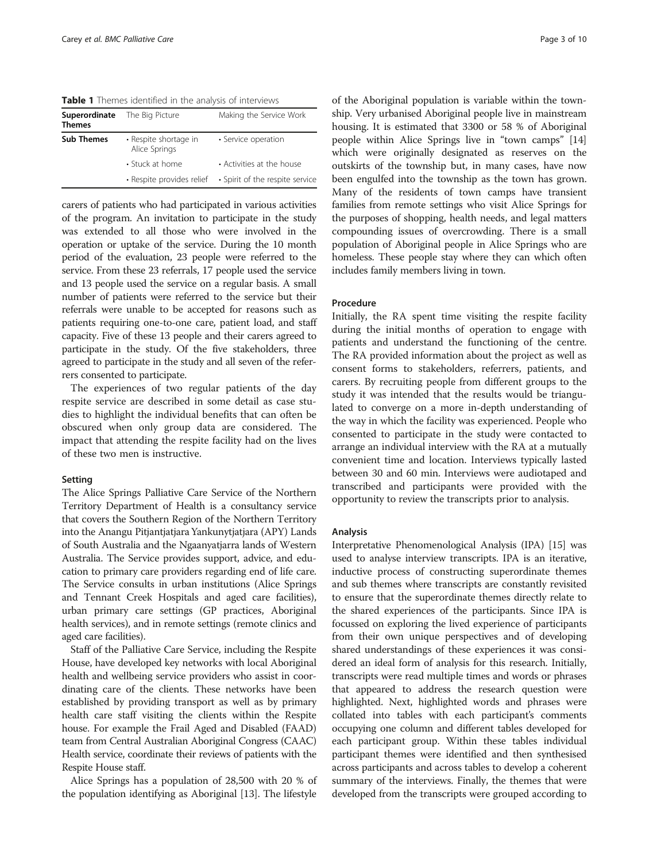Table 1 Themes identified in the analysis of interviews

| Superordinate<br><b>Themes</b> | The Big Picture                        | Making the Service Work         |
|--------------------------------|----------------------------------------|---------------------------------|
| <b>Sub Themes</b>              | • Respite shortage in<br>Alice Springs | • Service operation             |
|                                | • Stuck at home                        | • Activities at the house       |
|                                | • Respite provides relief              | • Spirit of the respite service |

carers of patients who had participated in various activities of the program. An invitation to participate in the study was extended to all those who were involved in the operation or uptake of the service. During the 10 month period of the evaluation, 23 people were referred to the service. From these 23 referrals, 17 people used the service and 13 people used the service on a regular basis. A small number of patients were referred to the service but their referrals were unable to be accepted for reasons such as patients requiring one-to-one care, patient load, and staff capacity. Five of these 13 people and their carers agreed to participate in the study. Of the five stakeholders, three agreed to participate in the study and all seven of the referrers consented to participate.

The experiences of two regular patients of the day respite service are described in some detail as case studies to highlight the individual benefits that can often be obscured when only group data are considered. The impact that attending the respite facility had on the lives of these two men is instructive.

#### Setting

The Alice Springs Palliative Care Service of the Northern Territory Department of Health is a consultancy service that covers the Southern Region of the Northern Territory into the Anangu Pitjantjatjara Yankunytjatjara (APY) Lands of South Australia and the Ngaanyatjarra lands of Western Australia. The Service provides support, advice, and education to primary care providers regarding end of life care. The Service consults in urban institutions (Alice Springs and Tennant Creek Hospitals and aged care facilities), urban primary care settings (GP practices, Aboriginal health services), and in remote settings (remote clinics and aged care facilities).

Staff of the Palliative Care Service, including the Respite House, have developed key networks with local Aboriginal health and wellbeing service providers who assist in coordinating care of the clients. These networks have been established by providing transport as well as by primary health care staff visiting the clients within the Respite house. For example the Frail Aged and Disabled (FAAD) team from Central Australian Aboriginal Congress (CAAC) Health service, coordinate their reviews of patients with the Respite House staff.

Alice Springs has a population of 28,500 with 20 % of the population identifying as Aboriginal [13]. The lifestyle of the Aboriginal population is variable within the township. Very urbanised Aboriginal people live in mainstream housing. It is estimated that 3300 or 58 % of Aboriginal people within Alice Springs live in "town camps" [14] which were originally designated as reserves on the outskirts of the township but, in many cases, have now been engulfed into the township as the town has grown. Many of the residents of town camps have transient families from remote settings who visit Alice Springs for the purposes of shopping, health needs, and legal matters compounding issues of overcrowding. There is a small population of Aboriginal people in Alice Springs who are homeless. These people stay where they can which often includes family members living in town.

#### **Procedure**

Initially, the RA spent time visiting the respite facility during the initial months of operation to engage with patients and understand the functioning of the centre. The RA provided information about the project as well as consent forms to stakeholders, referrers, patients, and carers. By recruiting people from different groups to the study it was intended that the results would be triangulated to converge on a more in-depth understanding of the way in which the facility was experienced. People who consented to participate in the study were contacted to arrange an individual interview with the RA at a mutually convenient time and location. Interviews typically lasted between 30 and 60 min. Interviews were audiotaped and transcribed and participants were provided with the opportunity to review the transcripts prior to analysis.

#### Analysis

Interpretative Phenomenological Analysis (IPA) [15] was used to analyse interview transcripts. IPA is an iterative, inductive process of constructing superordinate themes and sub themes where transcripts are constantly revisited to ensure that the superordinate themes directly relate to the shared experiences of the participants. Since IPA is focussed on exploring the lived experience of participants from their own unique perspectives and of developing shared understandings of these experiences it was considered an ideal form of analysis for this research. Initially, transcripts were read multiple times and words or phrases that appeared to address the research question were highlighted. Next, highlighted words and phrases were collated into tables with each participant's comments occupying one column and different tables developed for each participant group. Within these tables individual participant themes were identified and then synthesised across participants and across tables to develop a coherent summary of the interviews. Finally, the themes that were developed from the transcripts were grouped according to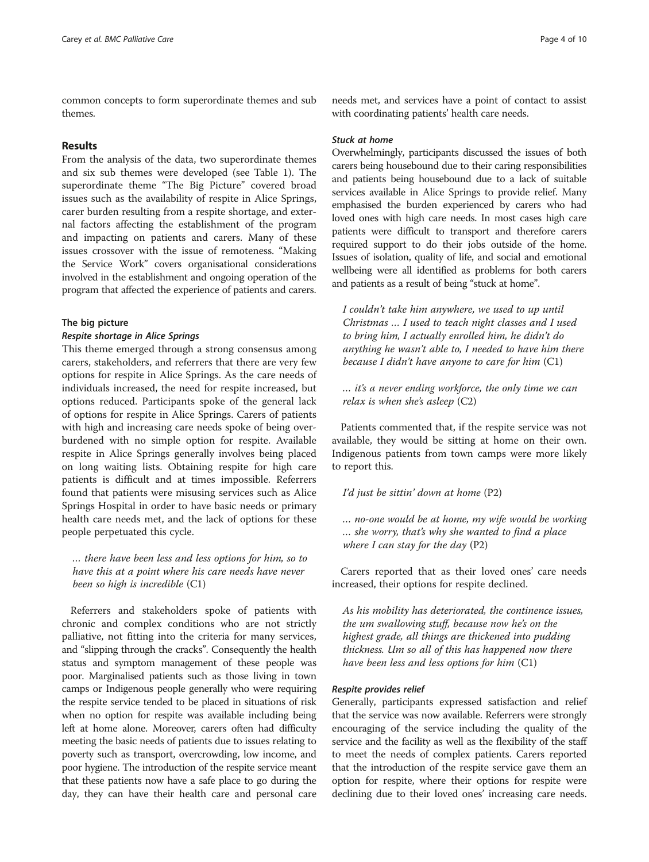common concepts to form superordinate themes and sub themes.

#### Results

From the analysis of the data, two superordinate themes and six sub themes were developed (see Table 1). The superordinate theme "The Big Picture" covered broad issues such as the availability of respite in Alice Springs, carer burden resulting from a respite shortage, and external factors affecting the establishment of the program and impacting on patients and carers. Many of these issues crossover with the issue of remoteness. "Making the Service Work" covers organisational considerations involved in the establishment and ongoing operation of the program that affected the experience of patients and carers.

#### The big picture

#### Respite shortage in Alice Springs

This theme emerged through a strong consensus among carers, stakeholders, and referrers that there are very few options for respite in Alice Springs. As the care needs of individuals increased, the need for respite increased, but options reduced. Participants spoke of the general lack of options for respite in Alice Springs. Carers of patients with high and increasing care needs spoke of being overburdened with no simple option for respite. Available respite in Alice Springs generally involves being placed on long waiting lists. Obtaining respite for high care patients is difficult and at times impossible. Referrers found that patients were misusing services such as Alice Springs Hospital in order to have basic needs or primary health care needs met, and the lack of options for these people perpetuated this cycle.

… there have been less and less options for him, so to have this at a point where his care needs have never been so high is incredible (C1)

Referrers and stakeholders spoke of patients with chronic and complex conditions who are not strictly palliative, not fitting into the criteria for many services, and "slipping through the cracks". Consequently the health status and symptom management of these people was poor. Marginalised patients such as those living in town camps or Indigenous people generally who were requiring the respite service tended to be placed in situations of risk when no option for respite was available including being left at home alone. Moreover, carers often had difficulty meeting the basic needs of patients due to issues relating to poverty such as transport, overcrowding, low income, and poor hygiene. The introduction of the respite service meant that these patients now have a safe place to go during the day, they can have their health care and personal care

needs met, and services have a point of contact to assist with coordinating patients' health care needs.

#### Stuck at home

Overwhelmingly, participants discussed the issues of both carers being housebound due to their caring responsibilities and patients being housebound due to a lack of suitable services available in Alice Springs to provide relief. Many emphasised the burden experienced by carers who had loved ones with high care needs. In most cases high care patients were difficult to transport and therefore carers required support to do their jobs outside of the home. Issues of isolation, quality of life, and social and emotional wellbeing were all identified as problems for both carers and patients as a result of being "stuck at home".

I couldn't take him anywhere, we used to up until Christmas … I used to teach night classes and I used to bring him, I actually enrolled him, he didn't do anything he wasn't able to, I needed to have him there because I didn't have anyone to care for him (C1)

… it's a never ending workforce, the only time we can relax is when she's asleep (C2)

Patients commented that, if the respite service was not available, they would be sitting at home on their own. Indigenous patients from town camps were more likely to report this.

I'd just be sittin' down at home  $(P2)$ 

… no-one would be at home, my wife would be working … she worry, that's why she wanted to find a place where I can stay for the day  $(P2)$ 

Carers reported that as their loved ones' care needs increased, their options for respite declined.

As his mobility has deteriorated, the continence issues, the um swallowing stuff, because now he's on the highest grade, all things are thickened into pudding thickness. Um so all of this has happened now there have been less and less options for him (C1)

#### Respite provides relief

Generally, participants expressed satisfaction and relief that the service was now available. Referrers were strongly encouraging of the service including the quality of the service and the facility as well as the flexibility of the staff to meet the needs of complex patients. Carers reported that the introduction of the respite service gave them an option for respite, where their options for respite were declining due to their loved ones' increasing care needs.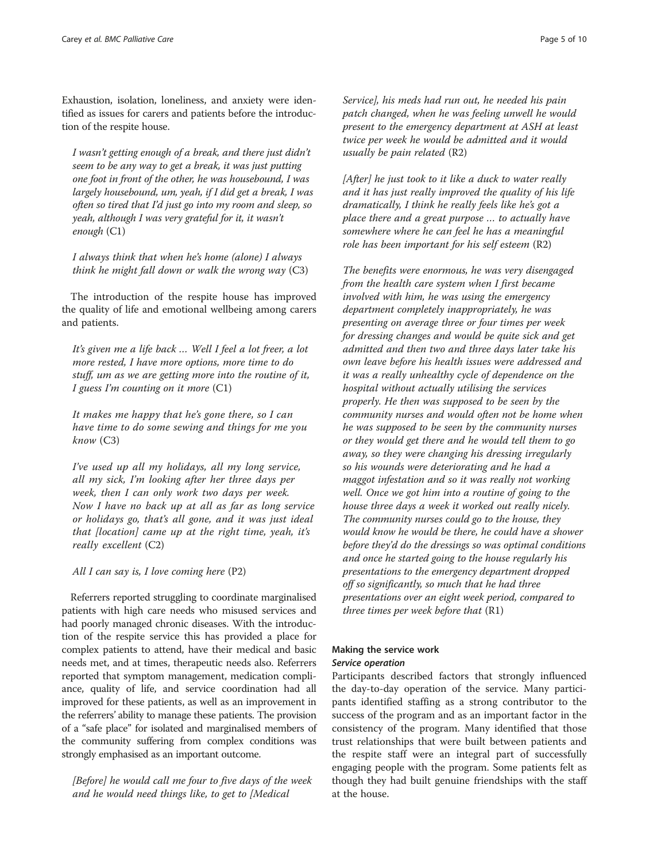Exhaustion, isolation, loneliness, and anxiety were identified as issues for carers and patients before the introduction of the respite house.

I wasn't getting enough of a break, and there just didn't seem to be any way to get a break, it was just putting one foot in front of the other, he was housebound, I was largely housebound, um, yeah, if I did get a break, I was often so tired that I'd just go into my room and sleep, so yeah, although I was very grateful for it, it wasn't enough (C1)

I always think that when he's home (alone) I always think he might fall down or walk the wrong way  $(C3)$ 

The introduction of the respite house has improved the quality of life and emotional wellbeing among carers and patients.

It's given me a life back … Well I feel a lot freer, a lot more rested, I have more options, more time to do stuff, um as we are getting more into the routine of it, I guess I'm counting on it more  $(Cl)$ 

It makes me happy that he's gone there, so I can have time to do some sewing and things for me you know (C3)

I've used up all my holidays, all my long service, all my sick, I'm looking after her three days per week, then I can only work two days per week. Now I have no back up at all as far as long service or holidays go, that's all gone, and it was just ideal that [location] came up at the right time, yeah, it's really excellent (C2)

All I can say is, I love coming here  $(P2)$ 

Referrers reported struggling to coordinate marginalised patients with high care needs who misused services and had poorly managed chronic diseases. With the introduction of the respite service this has provided a place for complex patients to attend, have their medical and basic needs met, and at times, therapeutic needs also. Referrers reported that symptom management, medication compliance, quality of life, and service coordination had all improved for these patients, as well as an improvement in the referrers' ability to manage these patients. The provision of a "safe place" for isolated and marginalised members of the community suffering from complex conditions was strongly emphasised as an important outcome.

[Before] he would call me four to five days of the week and he would need things like, to get to [Medical

Service], his meds had run out, he needed his pain patch changed, when he was feeling unwell he would present to the emergency department at ASH at least twice per week he would be admitted and it would usually be pain related (R2)

[After] he just took to it like a duck to water really and it has just really improved the quality of his life dramatically, I think he really feels like he's got a place there and a great purpose … to actually have somewhere where he can feel he has a meaningful role has been important for his self esteem (R2)

The benefits were enormous, he was very disengaged from the health care system when I first became involved with him, he was using the emergency department completely inappropriately, he was presenting on average three or four times per week for dressing changes and would be quite sick and get admitted and then two and three days later take his own leave before his health issues were addressed and it was a really unhealthy cycle of dependence on the hospital without actually utilising the services properly. He then was supposed to be seen by the community nurses and would often not be home when he was supposed to be seen by the community nurses or they would get there and he would tell them to go away, so they were changing his dressing irregularly so his wounds were deteriorating and he had a maggot infestation and so it was really not working well. Once we got him into a routine of going to the house three days a week it worked out really nicely. The community nurses could go to the house, they would know he would be there, he could have a shower before they'd do the dressings so was optimal conditions and once he started going to the house regularly his presentations to the emergency department dropped off so significantly, so much that he had three presentations over an eight week period, compared to three times per week before that (R1)

## Making the service work Service operation

Participants described factors that strongly influenced the day-to-day operation of the service. Many participants identified staffing as a strong contributor to the success of the program and as an important factor in the consistency of the program. Many identified that those trust relationships that were built between patients and the respite staff were an integral part of successfully engaging people with the program. Some patients felt as though they had built genuine friendships with the staff at the house.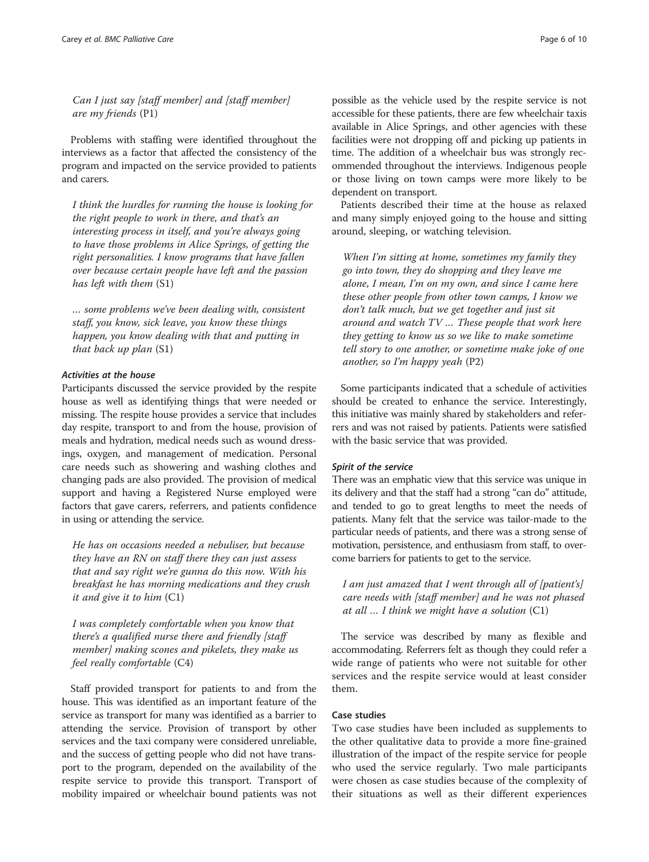Can I just say [staff member] and [staff member] are my friends (P1)

Problems with staffing were identified throughout the interviews as a factor that affected the consistency of the program and impacted on the service provided to patients and carers.

I think the hurdles for running the house is looking for the right people to work in there, and that's an interesting process in itself, and you're always going to have those problems in Alice Springs, of getting the right personalities. I know programs that have fallen over because certain people have left and the passion has left with them (S1)

… some problems we've been dealing with, consistent staff, you know, sick leave, you know these things happen, you know dealing with that and putting in that back up plan (S1)

## Activities at the house

Participants discussed the service provided by the respite house as well as identifying things that were needed or missing. The respite house provides a service that includes day respite, transport to and from the house, provision of meals and hydration, medical needs such as wound dressings, oxygen, and management of medication. Personal care needs such as showering and washing clothes and changing pads are also provided. The provision of medical support and having a Registered Nurse employed were factors that gave carers, referrers, and patients confidence in using or attending the service.

He has on occasions needed a nebuliser, but because they have an RN on staff there they can just assess that and say right we're gunna do this now. With his breakfast he has morning medications and they crush it and give it to him (C1)

I was completely comfortable when you know that there's a qualified nurse there and friendly [staff member] making scones and pikelets, they make us feel really comfortable (C4)

Staff provided transport for patients to and from the house. This was identified as an important feature of the service as transport for many was identified as a barrier to attending the service. Provision of transport by other services and the taxi company were considered unreliable, and the success of getting people who did not have transport to the program, depended on the availability of the respite service to provide this transport. Transport of mobility impaired or wheelchair bound patients was not

possible as the vehicle used by the respite service is not accessible for these patients, there are few wheelchair taxis available in Alice Springs, and other agencies with these facilities were not dropping off and picking up patients in time. The addition of a wheelchair bus was strongly recommended throughout the interviews. Indigenous people or those living on town camps were more likely to be dependent on transport.

Patients described their time at the house as relaxed and many simply enjoyed going to the house and sitting around, sleeping, or watching television.

When I'm sitting at home, sometimes my family they go into town, they do shopping and they leave me alone, I mean, I'm on my own, and since I came here these other people from other town camps, I know we don't talk much, but we get together and just sit around and watch TV … These people that work here they getting to know us so we like to make sometime tell story to one another, or sometime make joke of one another, so I'm happy yeah (P2)

Some participants indicated that a schedule of activities should be created to enhance the service. Interestingly, this initiative was mainly shared by stakeholders and referrers and was not raised by patients. Patients were satisfied with the basic service that was provided.

#### Spirit of the service

There was an emphatic view that this service was unique in its delivery and that the staff had a strong "can do" attitude, and tended to go to great lengths to meet the needs of patients. Many felt that the service was tailor-made to the particular needs of patients, and there was a strong sense of motivation, persistence, and enthusiasm from staff, to overcome barriers for patients to get to the service.

I am just amazed that I went through all of [patient's] care needs with [staff member] and he was not phased at all … I think we might have a solution (C1)

The service was described by many as flexible and accommodating. Referrers felt as though they could refer a wide range of patients who were not suitable for other services and the respite service would at least consider them.

#### Case studies

Two case studies have been included as supplements to the other qualitative data to provide a more fine-grained illustration of the impact of the respite service for people who used the service regularly. Two male participants were chosen as case studies because of the complexity of their situations as well as their different experiences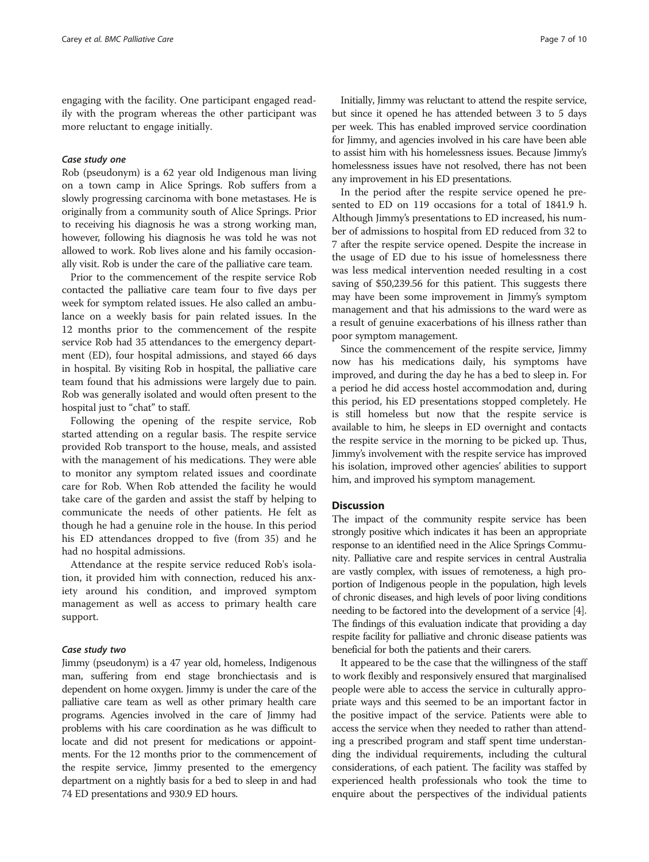engaging with the facility. One participant engaged readily with the program whereas the other participant was more reluctant to engage initially.

#### Case study one

Rob (pseudonym) is a 62 year old Indigenous man living on a town camp in Alice Springs. Rob suffers from a slowly progressing carcinoma with bone metastases. He is originally from a community south of Alice Springs. Prior to receiving his diagnosis he was a strong working man, however, following his diagnosis he was told he was not allowed to work. Rob lives alone and his family occasionally visit. Rob is under the care of the palliative care team.

Prior to the commencement of the respite service Rob contacted the palliative care team four to five days per week for symptom related issues. He also called an ambulance on a weekly basis for pain related issues. In the 12 months prior to the commencement of the respite service Rob had 35 attendances to the emergency department (ED), four hospital admissions, and stayed 66 days in hospital. By visiting Rob in hospital, the palliative care team found that his admissions were largely due to pain. Rob was generally isolated and would often present to the hospital just to "chat" to staff.

Following the opening of the respite service, Rob started attending on a regular basis. The respite service provided Rob transport to the house, meals, and assisted with the management of his medications. They were able to monitor any symptom related issues and coordinate care for Rob. When Rob attended the facility he would take care of the garden and assist the staff by helping to communicate the needs of other patients. He felt as though he had a genuine role in the house. In this period his ED attendances dropped to five (from 35) and he had no hospital admissions.

Attendance at the respite service reduced Rob's isolation, it provided him with connection, reduced his anxiety around his condition, and improved symptom management as well as access to primary health care support.

#### Case study two

Jimmy (pseudonym) is a 47 year old, homeless, Indigenous man, suffering from end stage bronchiectasis and is dependent on home oxygen. Jimmy is under the care of the palliative care team as well as other primary health care programs. Agencies involved in the care of Jimmy had problems with his care coordination as he was difficult to locate and did not present for medications or appointments. For the 12 months prior to the commencement of the respite service, Jimmy presented to the emergency department on a nightly basis for a bed to sleep in and had 74 ED presentations and 930.9 ED hours.

Initially, Jimmy was reluctant to attend the respite service, but since it opened he has attended between 3 to 5 days per week. This has enabled improved service coordination for Jimmy, and agencies involved in his care have been able to assist him with his homelessness issues. Because Jimmy's homelessness issues have not resolved, there has not been any improvement in his ED presentations.

In the period after the respite service opened he presented to ED on 119 occasions for a total of 1841.9 h. Although Jimmy's presentations to ED increased, his number of admissions to hospital from ED reduced from 32 to 7 after the respite service opened. Despite the increase in the usage of ED due to his issue of homelessness there was less medical intervention needed resulting in a cost saving of \$50,239.56 for this patient. This suggests there may have been some improvement in Jimmy's symptom management and that his admissions to the ward were as a result of genuine exacerbations of his illness rather than poor symptom management.

Since the commencement of the respite service, Jimmy now has his medications daily, his symptoms have improved, and during the day he has a bed to sleep in. For a period he did access hostel accommodation and, during this period, his ED presentations stopped completely. He is still homeless but now that the respite service is available to him, he sleeps in ED overnight and contacts the respite service in the morning to be picked up. Thus, Jimmy's involvement with the respite service has improved his isolation, improved other agencies' abilities to support him, and improved his symptom management.

#### **Discussion**

The impact of the community respite service has been strongly positive which indicates it has been an appropriate response to an identified need in the Alice Springs Community. Palliative care and respite services in central Australia are vastly complex, with issues of remoteness, a high proportion of Indigenous people in the population, high levels of chronic diseases, and high levels of poor living conditions needing to be factored into the development of a service [4]. The findings of this evaluation indicate that providing a day respite facility for palliative and chronic disease patients was beneficial for both the patients and their carers.

It appeared to be the case that the willingness of the staff to work flexibly and responsively ensured that marginalised people were able to access the service in culturally appropriate ways and this seemed to be an important factor in the positive impact of the service. Patients were able to access the service when they needed to rather than attending a prescribed program and staff spent time understanding the individual requirements, including the cultural considerations, of each patient. The facility was staffed by experienced health professionals who took the time to enquire about the perspectives of the individual patients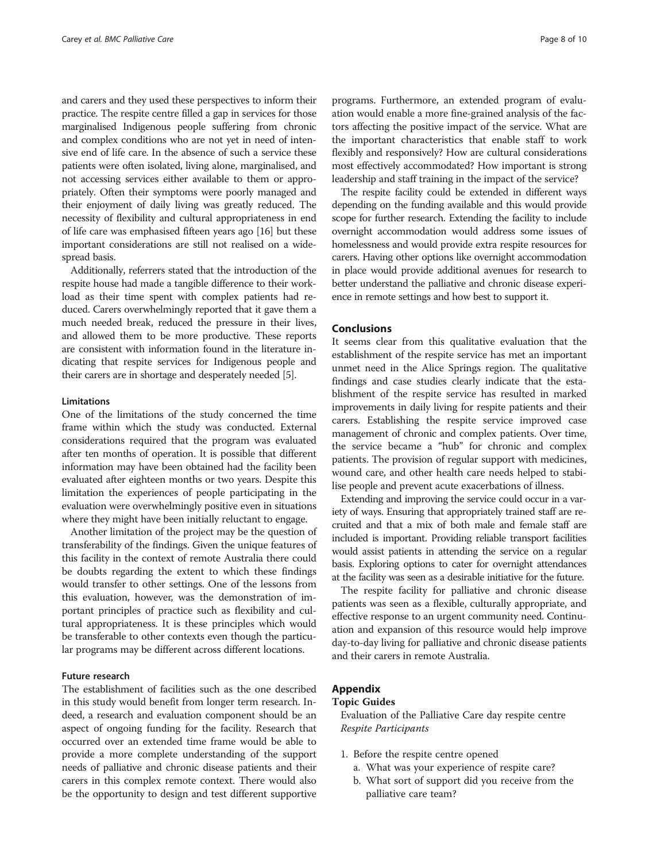and carers and they used these perspectives to inform their practice. The respite centre filled a gap in services for those marginalised Indigenous people suffering from chronic and complex conditions who are not yet in need of intensive end of life care. In the absence of such a service these patients were often isolated, living alone, marginalised, and not accessing services either available to them or appropriately. Often their symptoms were poorly managed and their enjoyment of daily living was greatly reduced. The necessity of flexibility and cultural appropriateness in end of life care was emphasised fifteen years ago [16] but these important considerations are still not realised on a widespread basis.

Additionally, referrers stated that the introduction of the respite house had made a tangible difference to their workload as their time spent with complex patients had reduced. Carers overwhelmingly reported that it gave them a much needed break, reduced the pressure in their lives, and allowed them to be more productive. These reports are consistent with information found in the literature indicating that respite services for Indigenous people and their carers are in shortage and desperately needed [5].

#### Limitations

One of the limitations of the study concerned the time frame within which the study was conducted. External considerations required that the program was evaluated after ten months of operation. It is possible that different information may have been obtained had the facility been evaluated after eighteen months or two years. Despite this limitation the experiences of people participating in the evaluation were overwhelmingly positive even in situations where they might have been initially reluctant to engage.

Another limitation of the project may be the question of transferability of the findings. Given the unique features of this facility in the context of remote Australia there could be doubts regarding the extent to which these findings would transfer to other settings. One of the lessons from this evaluation, however, was the demonstration of important principles of practice such as flexibility and cultural appropriateness. It is these principles which would be transferable to other contexts even though the particular programs may be different across different locations.

### Future research

The establishment of facilities such as the one described in this study would benefit from longer term research. Indeed, a research and evaluation component should be an aspect of ongoing funding for the facility. Research that occurred over an extended time frame would be able to provide a more complete understanding of the support needs of palliative and chronic disease patients and their carers in this complex remote context. There would also be the opportunity to design and test different supportive programs. Furthermore, an extended program of evaluation would enable a more fine-grained analysis of the factors affecting the positive impact of the service. What are the important characteristics that enable staff to work flexibly and responsively? How are cultural considerations most effectively accommodated? How important is strong leadership and staff training in the impact of the service?

The respite facility could be extended in different ways depending on the funding available and this would provide scope for further research. Extending the facility to include overnight accommodation would address some issues of homelessness and would provide extra respite resources for carers. Having other options like overnight accommodation in place would provide additional avenues for research to better understand the palliative and chronic disease experience in remote settings and how best to support it.

## Conclusions

It seems clear from this qualitative evaluation that the establishment of the respite service has met an important unmet need in the Alice Springs region. The qualitative findings and case studies clearly indicate that the establishment of the respite service has resulted in marked improvements in daily living for respite patients and their carers. Establishing the respite service improved case management of chronic and complex patients. Over time, the service became a "hub" for chronic and complex patients. The provision of regular support with medicines, wound care, and other health care needs helped to stabilise people and prevent acute exacerbations of illness.

Extending and improving the service could occur in a variety of ways. Ensuring that appropriately trained staff are recruited and that a mix of both male and female staff are included is important. Providing reliable transport facilities would assist patients in attending the service on a regular basis. Exploring options to cater for overnight attendances at the facility was seen as a desirable initiative for the future.

The respite facility for palliative and chronic disease patients was seen as a flexible, culturally appropriate, and effective response to an urgent community need. Continuation and expansion of this resource would help improve day-to-day living for palliative and chronic disease patients and their carers in remote Australia.

## Appendix

#### Topic Guides

Evaluation of the Palliative Care day respite centre Respite Participants

- 1. Before the respite centre opened
	- a. What was your experience of respite care?
	- b. What sort of support did you receive from the palliative care team?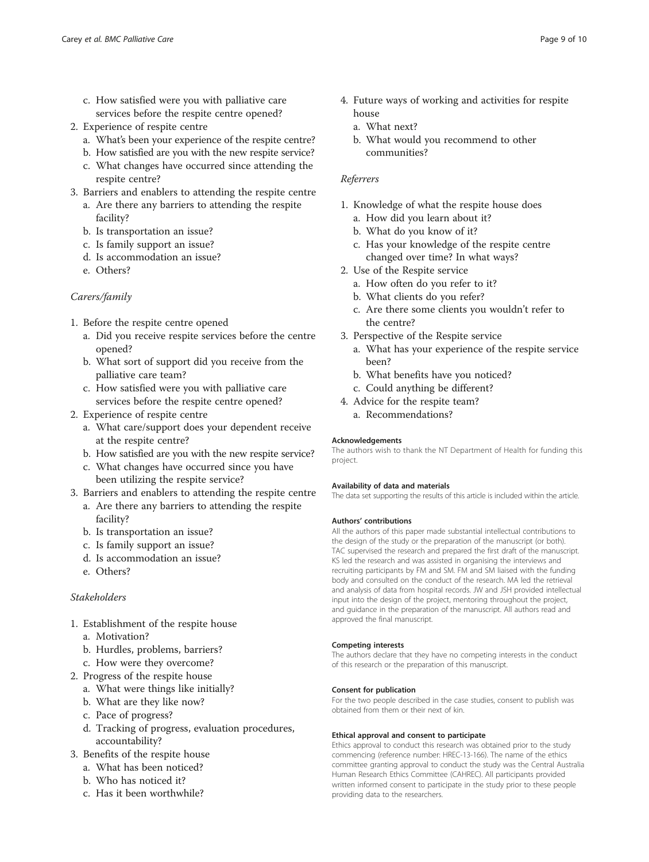- c. How satisfied were you with palliative care services before the respite centre opened?
- 2. Experience of respite centre
	- a. What's been your experience of the respite centre?
	- b. How satisfied are you with the new respite service?
	- c. What changes have occurred since attending the respite centre?
- 3. Barriers and enablers to attending the respite centre
	- a. Are there any barriers to attending the respite facility?
	- b. Is transportation an issue?
	- c. Is family support an issue?
	- d. Is accommodation an issue?
	- e. Others?

## Carers/family

- 1. Before the respite centre opened
	- a. Did you receive respite services before the centre opened?
	- b. What sort of support did you receive from the palliative care team?
	- c. How satisfied were you with palliative care services before the respite centre opened?
- 2. Experience of respite centre
	- a. What care/support does your dependent receive at the respite centre?
	- b. How satisfied are you with the new respite service?
	- c. What changes have occurred since you have been utilizing the respite service?
- 3. Barriers and enablers to attending the respite centre
	- a. Are there any barriers to attending the respite facility?
	- b. Is transportation an issue?
	- c. Is family support an issue?
	- d. Is accommodation an issue?
	- e. Others?

#### **Stakeholders**

- 1. Establishment of the respite house
	- a. Motivation?
	- b. Hurdles, problems, barriers?
	- c. How were they overcome?
- 2. Progress of the respite house
	- a. What were things like initially?
	- b. What are they like now?
	- c. Pace of progress?
	- d. Tracking of progress, evaluation procedures, accountability?
- 3. Benefits of the respite house
	- a. What has been noticed?
	- b. Who has noticed it?
	- c. Has it been worthwhile?
- 4. Future ways of working and activities for respite house
	- a. What next?
	- b. What would you recommend to other communities?

## Referrers

- 1. Knowledge of what the respite house does
	- a. How did you learn about it?
	- b. What do you know of it?
	- c. Has your knowledge of the respite centre changed over time? In what ways?
- 2. Use of the Respite service
	- a. How often do you refer to it?
	- b. What clients do you refer?
	- c. Are there some clients you wouldn't refer to the centre?
- 3. Perspective of the Respite service
	- a. What has your experience of the respite service been?
	- b. What benefits have you noticed?
	- c. Could anything be different?
- 4. Advice for the respite team?
	- a. Recommendations?

#### Acknowledgements

The authors wish to thank the NT Department of Health for funding this project.

#### Availability of data and materials

The data set supporting the results of this article is included within the article.

#### Authors' contributions

All the authors of this paper made substantial intellectual contributions to the design of the study or the preparation of the manuscript (or both). TAC supervised the research and prepared the first draft of the manuscript. KS led the research and was assisted in organising the interviews and recruiting participants by FM and SM. FM and SM liaised with the funding body and consulted on the conduct of the research. MA led the retrieval and analysis of data from hospital records. JW and JSH provided intellectual input into the design of the project, mentoring throughout the project, and guidance in the preparation of the manuscript. All authors read and approved the final manuscript.

#### Competing interests

The authors declare that they have no competing interests in the conduct of this research or the preparation of this manuscript.

#### Consent for publication

For the two people described in the case studies, consent to publish was obtained from them or their next of kin.

#### Ethical approval and consent to participate

Ethics approval to conduct this research was obtained prior to the study commencing (reference number: HREC-13-166). The name of the ethics committee granting approval to conduct the study was the Central Australia Human Research Ethics Committee (CAHREC). All participants provided written informed consent to participate in the study prior to these people providing data to the researchers.